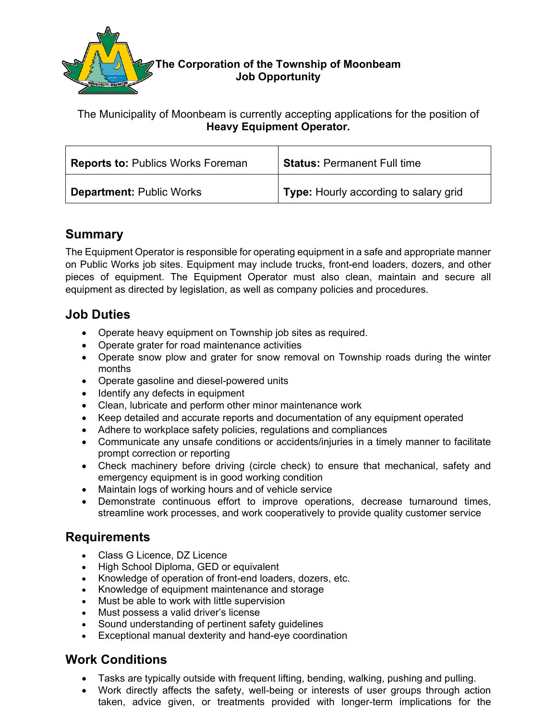

### The Municipality of Moonbeam is currently accepting applications for the position of **Heavy Equipment Operator.**

| <b>Reports to: Publics Works Foreman</b> | <b>Status: Permanent Full time</b>           |
|------------------------------------------|----------------------------------------------|
| <b>Department: Public Works</b>          | <b>Type:</b> Hourly according to salary grid |

# **Summary**

The Equipment Operator is responsible for operating equipment in a safe and appropriate manner on Public Works job sites. Equipment may include trucks, front-end loaders, dozers, and other pieces of equipment. The Equipment Operator must also clean, maintain and secure all equipment as directed by legislation, as well as company policies and procedures.

# **Job Duties**

- Operate heavy equipment on Township job sites as required.
- Operate grater for road maintenance activities
- Operate snow plow and grater for snow removal on Township roads during the winter months
- Operate gasoline and diesel-powered units
- Identify any defects in equipment
- Clean, lubricate and perform other minor maintenance work
- Keep detailed and accurate reports and documentation of any equipment operated
- Adhere to workplace safety policies, regulations and compliances
- Communicate any unsafe conditions or accidents/injuries in a timely manner to facilitate prompt correction or reporting
- Check machinery before driving (circle check) to ensure that mechanical, safety and emergency equipment is in good working condition
- Maintain logs of working hours and of vehicle service
- Demonstrate continuous effort to improve operations, decrease turnaround times, streamline work processes, and work cooperatively to provide quality customer service

## **Requirements**

- Class G Licence, DZ Licence
- High School Diploma, GED or equivalent
- Knowledge of operation of front-end loaders, dozers, etc.
- Knowledge of equipment maintenance and storage
- Must be able to work with little supervision
- Must possess a valid driver's license
- Sound understanding of pertinent safety guidelines
- Exceptional manual dexterity and hand-eye coordination

# **Work Conditions**

- Tasks are typically outside with frequent lifting, bending, walking, pushing and pulling.
- Work directly affects the safety, well-being or interests of user groups through action taken, advice given, or treatments provided with longer-term implications for the